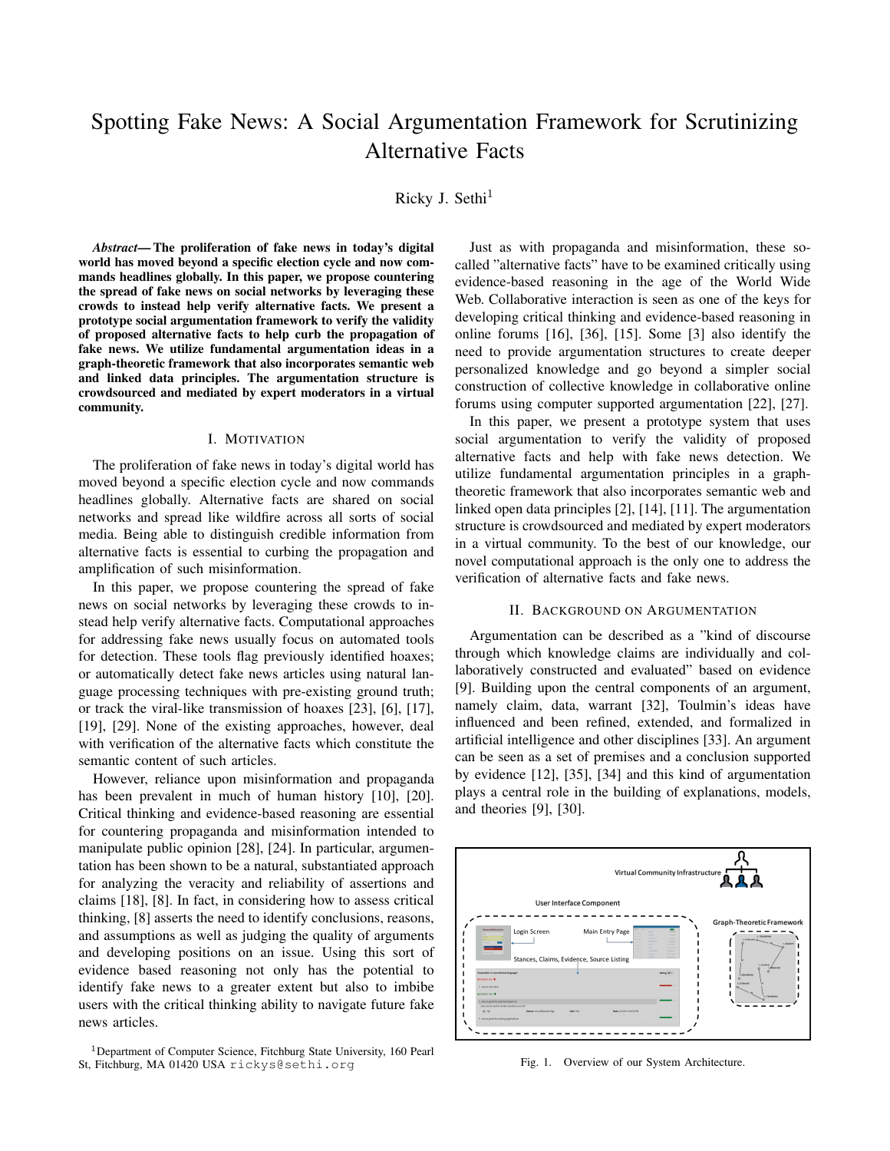# Spotting Fake News: A Social Argumentation Framework for Scrutinizing Alternative Facts

Ricky J. Sethi $<sup>1</sup>$ </sup>

*Abstract*— The proliferation of fake news in today's digital world has moved beyond a specific election cycle and now commands headlines globally. In this paper, we propose countering the spread of fake news on social networks by leveraging these crowds to instead help verify alternative facts. We present a prototype social argumentation framework to verify the validity of proposed alternative facts to help curb the propagation of fake news. We utilize fundamental argumentation ideas in a graph-theoretic framework that also incorporates semantic web and linked data principles. The argumentation structure is crowdsourced and mediated by expert moderators in a virtual community.

#### I. MOTIVATION

The proliferation of fake news in today's digital world has moved beyond a specific election cycle and now commands headlines globally. Alternative facts are shared on social networks and spread like wildfire across all sorts of social media. Being able to distinguish credible information from alternative facts is essential to curbing the propagation and amplification of such misinformation.

In this paper, we propose countering the spread of fake news on social networks by leveraging these crowds to instead help verify alternative facts. Computational approaches for addressing fake news usually focus on automated tools for detection. These tools flag previously identified hoaxes; or automatically detect fake news articles using natural language processing techniques with pre-existing ground truth; or track the viral-like transmission of hoaxes [23], [6], [17], [19], [29]. None of the existing approaches, however, deal with verification of the alternative facts which constitute the semantic content of such articles.

However, reliance upon misinformation and propaganda has been prevalent in much of human history [10], [20]. Critical thinking and evidence-based reasoning are essential for countering propaganda and misinformation intended to manipulate public opinion [28], [24]. In particular, argumentation has been shown to be a natural, substantiated approach for analyzing the veracity and reliability of assertions and claims [18], [8]. In fact, in considering how to assess critical thinking, [8] asserts the need to identify conclusions, reasons, and assumptions as well as judging the quality of arguments and developing positions on an issue. Using this sort of evidence based reasoning not only has the potential to identify fake news to a greater extent but also to imbibe users with the critical thinking ability to navigate future fake news articles.

Just as with propaganda and misinformation, these socalled "alternative facts" have to be examined critically using evidence-based reasoning in the age of the World Wide Web. Collaborative interaction is seen as one of the keys for developing critical thinking and evidence-based reasoning in online forums [16], [36], [15]. Some [3] also identify the need to provide argumentation structures to create deeper personalized knowledge and go beyond a simpler social construction of collective knowledge in collaborative online forums using computer supported argumentation [22], [27].

In this paper, we present a prototype system that uses social argumentation to verify the validity of proposed alternative facts and help with fake news detection. We utilize fundamental argumentation principles in a graphtheoretic framework that also incorporates semantic web and linked open data principles [2], [14], [11]. The argumentation structure is crowdsourced and mediated by expert moderators in a virtual community. To the best of our knowledge, our novel computational approach is the only one to address the verification of alternative facts and fake news.

#### II. BACKGROUND ON ARGUMENTATION

Argumentation can be described as a "kind of discourse through which knowledge claims are individually and collaboratively constructed and evaluated" based on evidence [9]. Building upon the central components of an argument, namely claim, data, warrant [32], Toulmin's ideas have influenced and been refined, extended, and formalized in artificial intelligence and other disciplines [33]. An argument can be seen as a set of premises and a conclusion supported by evidence [12], [35], [34] and this kind of argumentation plays a central role in the building of explanations, models, and theories [9], [30].



Fig. 1. Overview of our System Architecture.

<sup>&</sup>lt;sup>1</sup>Department of Computer Science, Fitchburg State University, 160 Pearl St, Fitchburg, MA 01420 USA rickys@sethi.org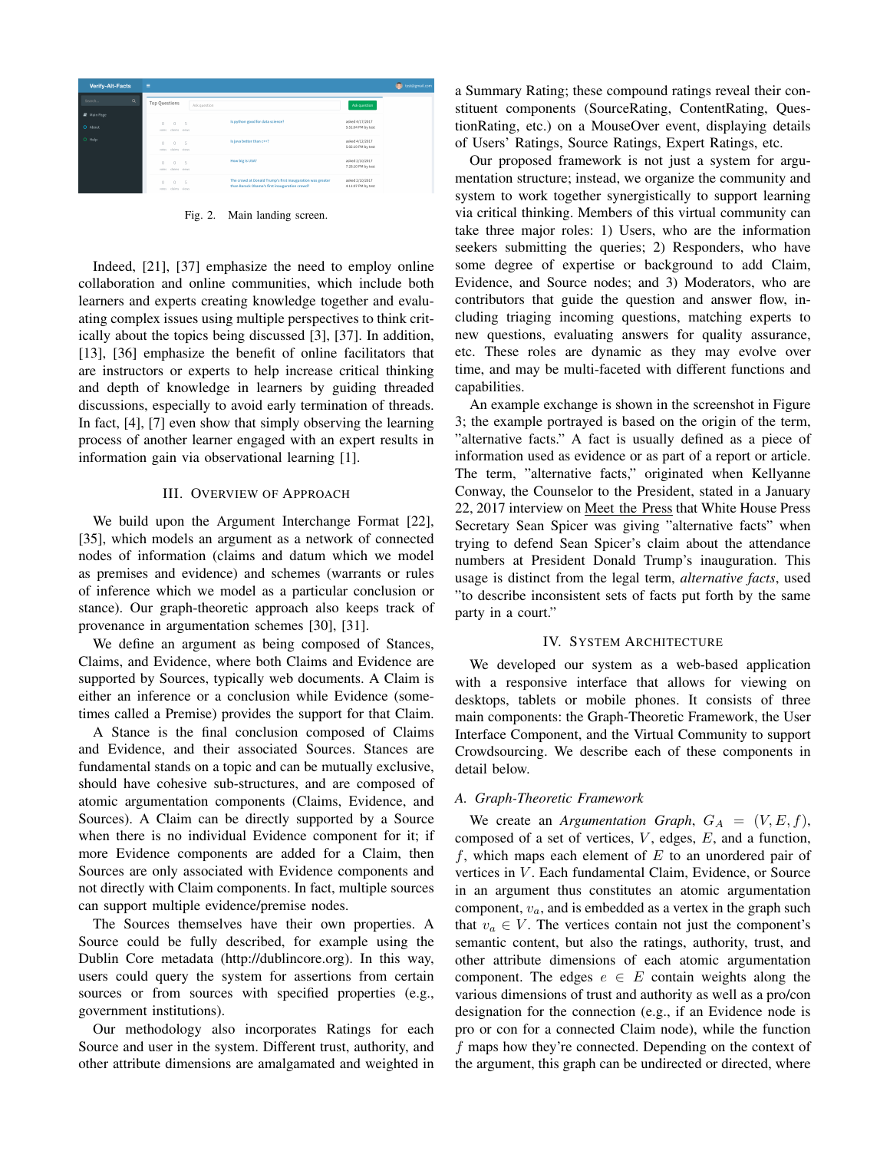| Verify-Alt-Facts              | $\equiv$                                         |                                                                                                             | $\left( \bullet \right)$              | test@gmail.com |
|-------------------------------|--------------------------------------------------|-------------------------------------------------------------------------------------------------------------|---------------------------------------|----------------|
| $\alpha$<br>Search            | <b>Top Questions</b><br>Ask question             |                                                                                                             | Ask question                          |                |
| <b>B</b> Main Page<br>O About | O.<br>D.<br>-5<br>claims views<br>yotes.         | Is python good for data science?                                                                            | asked 4/17/2017<br>5:51:04 PM by test |                |
| O Help                        | 0<br>-5<br>$\theta$<br>claims views<br>votes     | Is java better than c++?                                                                                    | asked 4/12/2017<br>5:02:19 PM by test |                |
|                               | $\Omega$<br>$\alpha$<br>-5<br>vetes claims views | How big is USA?                                                                                             | asked 2/10/2017<br>7:28:10 PM by test |                |
|                               | D.<br>5<br>$\alpha$<br>claims views<br>yetes.    | The crowd at Donald Trump's first inauguration was greater<br>than Barack Obama's first inauguration crowd? | asked 2/10/2017<br>4:11:07 PM by test |                |
|                               |                                                  |                                                                                                             |                                       |                |

Fig. 2. Main landing screen.

Indeed, [21], [37] emphasize the need to employ online collaboration and online communities, which include both learners and experts creating knowledge together and evaluating complex issues using multiple perspectives to think critically about the topics being discussed [3], [37]. In addition, [13], [36] emphasize the benefit of online facilitators that are instructors or experts to help increase critical thinking and depth of knowledge in learners by guiding threaded discussions, especially to avoid early termination of threads. In fact, [4], [7] even show that simply observing the learning process of another learner engaged with an expert results in information gain via observational learning [1].

### III. OVERVIEW OF APPROACH

We build upon the Argument Interchange Format [22], [35], which models an argument as a network of connected nodes of information (claims and datum which we model as premises and evidence) and schemes (warrants or rules of inference which we model as a particular conclusion or stance). Our graph-theoretic approach also keeps track of provenance in argumentation schemes [30], [31].

We define an argument as being composed of Stances, Claims, and Evidence, where both Claims and Evidence are supported by Sources, typically web documents. A Claim is either an inference or a conclusion while Evidence (sometimes called a Premise) provides the support for that Claim.

A Stance is the final conclusion composed of Claims and Evidence, and their associated Sources. Stances are fundamental stands on a topic and can be mutually exclusive, should have cohesive sub-structures, and are composed of atomic argumentation components (Claims, Evidence, and Sources). A Claim can be directly supported by a Source when there is no individual Evidence component for it; if more Evidence components are added for a Claim, then Sources are only associated with Evidence components and not directly with Claim components. In fact, multiple sources can support multiple evidence/premise nodes.

The Sources themselves have their own properties. A Source could be fully described, for example using the Dublin Core metadata (http://dublincore.org). In this way, users could query the system for assertions from certain sources or from sources with specified properties (e.g., government institutions).

Our methodology also incorporates Ratings for each Source and user in the system. Different trust, authority, and other attribute dimensions are amalgamated and weighted in a Summary Rating; these compound ratings reveal their constituent components (SourceRating, ContentRating, QuestionRating, etc.) on a MouseOver event, displaying details of Users' Ratings, Source Ratings, Expert Ratings, etc.

Our proposed framework is not just a system for argumentation structure; instead, we organize the community and system to work together synergistically to support learning via critical thinking. Members of this virtual community can take three major roles: 1) Users, who are the information seekers submitting the queries; 2) Responders, who have some degree of expertise or background to add Claim, Evidence, and Source nodes; and 3) Moderators, who are contributors that guide the question and answer flow, including triaging incoming questions, matching experts to new questions, evaluating answers for quality assurance, etc. These roles are dynamic as they may evolve over time, and may be multi-faceted with different functions and capabilities.

An example exchange is shown in the screenshot in Figure 3; the example portrayed is based on the origin of the term, "alternative facts." A fact is usually defined as a piece of information used as evidence or as part of a report or article. The term, "alternative facts," originated when Kellyanne Conway, the Counselor to the President, stated in a January 22, 2017 interview on Meet the Press that White House Press Secretary Sean Spicer was giving "alternative facts" when trying to defend Sean Spicer's claim about the attendance numbers at President Donald Trump's inauguration. This usage is distinct from the legal term, *alternative facts*, used "to describe inconsistent sets of facts put forth by the same party in a court."

#### IV. SYSTEM ARCHITECTURE

We developed our system as a web-based application with a responsive interface that allows for viewing on desktops, tablets or mobile phones. It consists of three main components: the Graph-Theoretic Framework, the User Interface Component, and the Virtual Community to support Crowdsourcing. We describe each of these components in detail below.

### *A. Graph-Theoretic Framework*

We create an *Argumentation Graph*,  $G_A = (V, E, f)$ , composed of a set of vertices,  $V$ , edges,  $E$ , and a function,  $f$ , which maps each element of  $E$  to an unordered pair of vertices in V. Each fundamental Claim, Evidence, or Source in an argument thus constitutes an atomic argumentation component,  $v_a$ , and is embedded as a vertex in the graph such that  $v_a \in V$ . The vertices contain not just the component's semantic content, but also the ratings, authority, trust, and other attribute dimensions of each atomic argumentation component. The edges  $e \in E$  contain weights along the various dimensions of trust and authority as well as a pro/con designation for the connection (e.g., if an Evidence node is pro or con for a connected Claim node), while the function f maps how they're connected. Depending on the context of the argument, this graph can be undirected or directed, where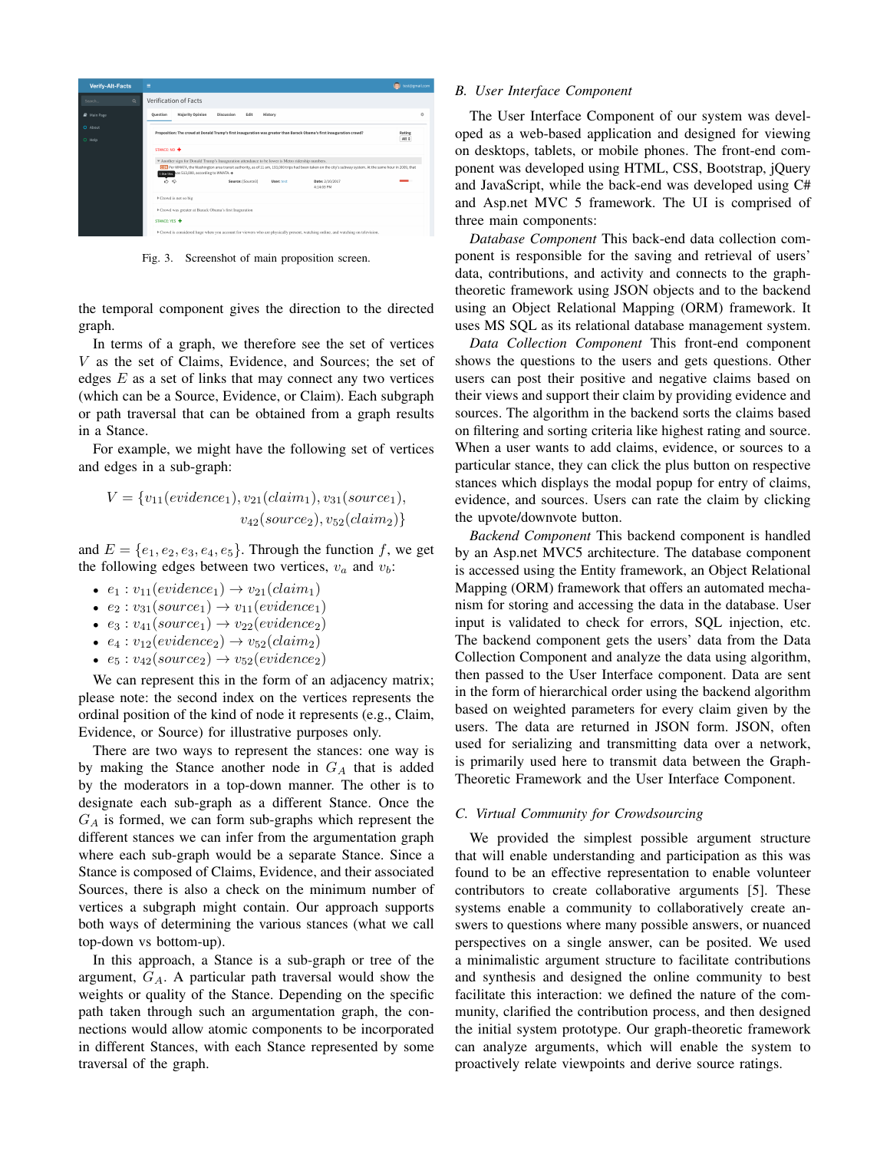| <b>Verify-Alt-Facts</b> | Ξ                                                                                                                                                                                                                                                                                                            | test@gmail.com |  |  |  |
|-------------------------|--------------------------------------------------------------------------------------------------------------------------------------------------------------------------------------------------------------------------------------------------------------------------------------------------------------|----------------|--|--|--|
| $\alpha$<br>Search      | Verification of Facts                                                                                                                                                                                                                                                                                        |                |  |  |  |
| <b>Main Page</b>        | <b>Majority Opinion</b><br>Fdit<br>Ouestion<br>Discussion<br>History                                                                                                                                                                                                                                         | $\sim$         |  |  |  |
| O About                 | Proposition: The crowd at Donald Trump's first inauguration was greater than Barack Obama's first inauguration crowd?                                                                                                                                                                                        | Rating         |  |  |  |
| O Help                  | STANCE: NO                                                                                                                                                                                                                                                                                                   | All ¢          |  |  |  |
|                         | * Another sign for Donald Trump's Inauguration attendance to be lower is Metro ridership numbers.<br>RON Per WMATA, the Washington area transit authority, as of 11 am, 193,000 trips had been taken on the city's subway system. At the same hour in 2009, that<br>Taxable vas 513,000, according to WMATA. |                |  |  |  |
|                         |                                                                                                                                                                                                                                                                                                              |                |  |  |  |
|                         | 10 O<br>Source: [Source3]<br>Date: 2/10/2017<br>User: test<br>4:14:03 PM                                                                                                                                                                                                                                     |                |  |  |  |
|                         | ▶ Crowd is not so big<br>Crowd was greater at Barack Obama's first Inaguration<br>STANCE: YES +                                                                                                                                                                                                              |                |  |  |  |
|                         |                                                                                                                                                                                                                                                                                                              |                |  |  |  |
|                         |                                                                                                                                                                                                                                                                                                              |                |  |  |  |
|                         | > Crowd is considered huge when you account for viewers who are physically present, watching online, and watching on television.                                                                                                                                                                             |                |  |  |  |

Fig. 3. Screenshot of main proposition screen.

the temporal component gives the direction to the directed graph.

In terms of a graph, we therefore see the set of vertices V as the set of Claims, Evidence, and Sources; the set of edges  $E$  as a set of links that may connect any two vertices (which can be a Source, Evidence, or Claim). Each subgraph or path traversal that can be obtained from a graph results in a Stance.

For example, we might have the following set of vertices and edges in a sub-graph:

$$
V = \{v_{11}(evidence_1), v_{21}(claim_1), v_{31}(source_1),v_{42}(source_2), v_{52}(claim_2)\}
$$

and  $E = \{e_1, e_2, e_3, e_4, e_5\}$ . Through the function f, we get the following edges between two vertices,  $v_a$  and  $v_b$ :

- $e_1 : v_{11}(evidence_1) \rightarrow v_{21}(claim_1)$
- $e_2 : v_{31}(source_1) \rightarrow v_{11}(evidence_1)$
- $e_3 : v_{41}(source_1) \rightarrow v_{22}(evidence_2)$
- $e_4$ :  $v_{12}(evidence_2) \rightarrow v_{52}(claim_2)$
- $e_5 : v_{42}(source_2) \rightarrow v_{52}(evidence_2)$

We can represent this in the form of an adjacency matrix; please note: the second index on the vertices represents the ordinal position of the kind of node it represents (e.g., Claim, Evidence, or Source) for illustrative purposes only.

There are two ways to represent the stances: one way is by making the Stance another node in  $G_A$  that is added by the moderators in a top-down manner. The other is to designate each sub-graph as a different Stance. Once the  $G_A$  is formed, we can form sub-graphs which represent the different stances we can infer from the argumentation graph where each sub-graph would be a separate Stance. Since a Stance is composed of Claims, Evidence, and their associated Sources, there is also a check on the minimum number of vertices a subgraph might contain. Our approach supports both ways of determining the various stances (what we call top-down vs bottom-up).

In this approach, a Stance is a sub-graph or tree of the argument,  $G_A$ . A particular path traversal would show the weights or quality of the Stance. Depending on the specific path taken through such an argumentation graph, the connections would allow atomic components to be incorporated in different Stances, with each Stance represented by some traversal of the graph.

# *B. User Interface Component*

The User Interface Component of our system was developed as a web-based application and designed for viewing on desktops, tablets, or mobile phones. The front-end component was developed using HTML, CSS, Bootstrap, jQuery and JavaScript, while the back-end was developed using C# and Asp.net MVC 5 framework. The UI is comprised of three main components:

*Database Component* This back-end data collection component is responsible for the saving and retrieval of users' data, contributions, and activity and connects to the graphtheoretic framework using JSON objects and to the backend using an Object Relational Mapping (ORM) framework. It uses MS SQL as its relational database management system.

*Data Collection Component* This front-end component shows the questions to the users and gets questions. Other users can post their positive and negative claims based on their views and support their claim by providing evidence and sources. The algorithm in the backend sorts the claims based on filtering and sorting criteria like highest rating and source. When a user wants to add claims, evidence, or sources to a particular stance, they can click the plus button on respective stances which displays the modal popup for entry of claims, evidence, and sources. Users can rate the claim by clicking the upvote/downvote button.

*Backend Component* This backend component is handled by an Asp.net MVC5 architecture. The database component is accessed using the Entity framework, an Object Relational Mapping (ORM) framework that offers an automated mechanism for storing and accessing the data in the database. User input is validated to check for errors, SQL injection, etc. The backend component gets the users' data from the Data Collection Component and analyze the data using algorithm, then passed to the User Interface component. Data are sent in the form of hierarchical order using the backend algorithm based on weighted parameters for every claim given by the users. The data are returned in JSON form. JSON, often used for serializing and transmitting data over a network, is primarily used here to transmit data between the Graph-Theoretic Framework and the User Interface Component.

# *C. Virtual Community for Crowdsourcing*

We provided the simplest possible argument structure that will enable understanding and participation as this was found to be an effective representation to enable volunteer contributors to create collaborative arguments [5]. These systems enable a community to collaboratively create answers to questions where many possible answers, or nuanced perspectives on a single answer, can be posited. We used a minimalistic argument structure to facilitate contributions and synthesis and designed the online community to best facilitate this interaction: we defined the nature of the community, clarified the contribution process, and then designed the initial system prototype. Our graph-theoretic framework can analyze arguments, which will enable the system to proactively relate viewpoints and derive source ratings.